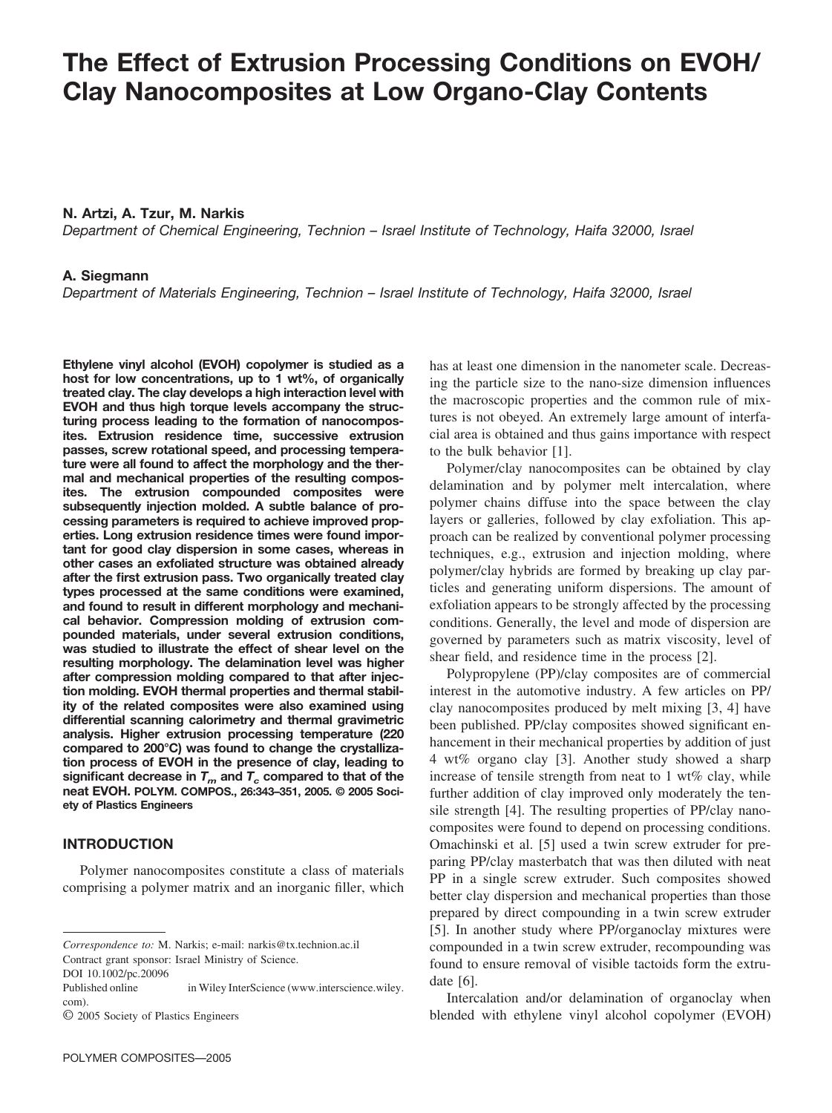# **The Effect of Extrusion Processing Conditions on EVOH/ Clay Nanocomposites at Low Organo-Clay Contents**

## **N. Artzi, A. Tzur, M. Narkis**

*Department of Chemical Engineering, Technion – Israel Institute of Technology, Haifa 32000, Israel*

### **A. Siegmann**

*Department of Materials Engineering, Technion – Israel Institute of Technology, Haifa 32000, Israel*

**Ethylene vinyl alcohol (EVOH) copolymer is studied as a host for low concentrations, up to 1 wt%, of organically treated clay. The clay develops a high interaction level with EVOH and thus high torque levels accompany the structuring process leading to the formation of nanocomposites. Extrusion residence time, successive extrusion passes, screw rotational speed, and processing temperature were all found to affect the morphology and the thermal and mechanical properties of the resulting composites. The extrusion compounded composites were subsequently injection molded. A subtle balance of processing parameters is required to achieve improved properties. Long extrusion residence times were found important for good clay dispersion in some cases, whereas in other cases an exfoliated structure was obtained already after the first extrusion pass. Two organically treated clay types processed at the same conditions were examined, and found to result in different morphology and mechanical behavior. Compression molding of extrusion compounded materials, under several extrusion conditions, was studied to illustrate the effect of shear level on the resulting morphology. The delamination level was higher after compression molding compared to that after injection molding. EVOH thermal properties and thermal stability of the related composites were also examined using differential scanning calorimetry and thermal gravimetric analysis. Higher extrusion processing temperature (220 compared to 200°C) was found to change the crystallization process of EVOH in the presence of clay, leading to** significant decrease in  $T_m$  and  $T_c$  compared to that of the **neat EVOH. POLYM. COMPOS., 26:343–351, 2005. © 2005 Society of Plastics Engineers**

### **INTRODUCTION**

Polymer nanocomposites constitute a class of materials comprising a polymer matrix and an inorganic filler, which

DOI 10.1002/pc.20096

has at least one dimension in the nanometer scale. Decreasing the particle size to the nano-size dimension influences the macroscopic properties and the common rule of mixtures is not obeyed. An extremely large amount of interfacial area is obtained and thus gains importance with respect to the bulk behavior [1].

Polymer/clay nanocomposites can be obtained by clay delamination and by polymer melt intercalation, where polymer chains diffuse into the space between the clay layers or galleries, followed by clay exfoliation. This approach can be realized by conventional polymer processing techniques, e.g., extrusion and injection molding, where polymer/clay hybrids are formed by breaking up clay particles and generating uniform dispersions. The amount of exfoliation appears to be strongly affected by the processing conditions. Generally, the level and mode of dispersion are governed by parameters such as matrix viscosity, level of shear field, and residence time in the process [2].

Polypropylene (PP)/clay composites are of commercial interest in the automotive industry. A few articles on PP/ clay nanocomposites produced by melt mixing [3, 4] have been published. PP/clay composites showed significant enhancement in their mechanical properties by addition of just 4 wt% organo clay [3]. Another study showed a sharp increase of tensile strength from neat to 1 wt% clay, while further addition of clay improved only moderately the tensile strength [4]. The resulting properties of PP/clay nanocomposites were found to depend on processing conditions. Omachinski et al. [5] used a twin screw extruder for preparing PP/clay masterbatch that was then diluted with neat PP in a single screw extruder. Such composites showed better clay dispersion and mechanical properties than those prepared by direct compounding in a twin screw extruder [5]. In another study where PP/organoclay mixtures were compounded in a twin screw extruder, recompounding was found to ensure removal of visible tactoids form the extrudate [6].

Intercalation and/or delamination of organoclay when blended with ethylene vinyl alcohol copolymer (EVOH)

*Correspondence to:* M. Narkis; e-mail: narkis@tx.technion.ac.il Contract grant sponsor: Israel Ministry of Science.

Published online in Wiley InterScience (www.interscience.wiley. com).

<sup>©</sup> 2005 Society of Plastics Engineers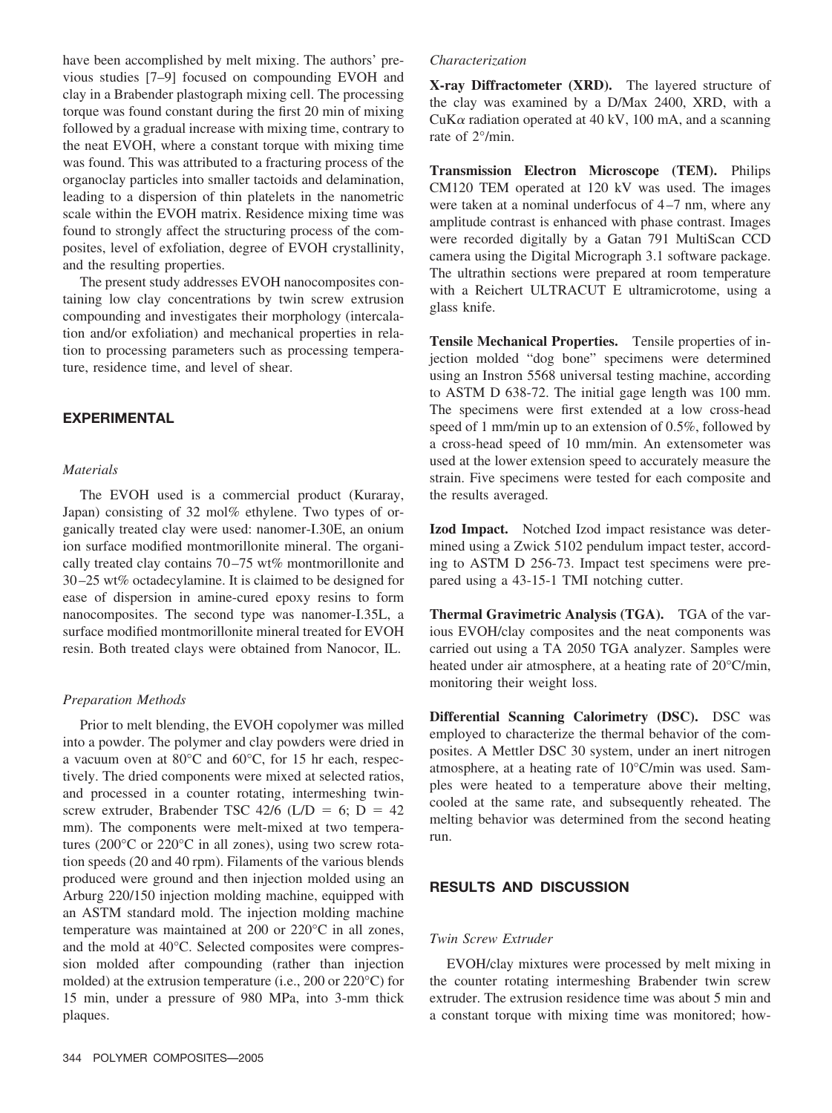have been accomplished by melt mixing. The authors' previous studies [7–9] focused on compounding EVOH and clay in a Brabender plastograph mixing cell. The processing torque was found constant during the first 20 min of mixing followed by a gradual increase with mixing time, contrary to the neat EVOH, where a constant torque with mixing time was found. This was attributed to a fracturing process of the organoclay particles into smaller tactoids and delamination, leading to a dispersion of thin platelets in the nanometric scale within the EVOH matrix. Residence mixing time was found to strongly affect the structuring process of the composites, level of exfoliation, degree of EVOH crystallinity, and the resulting properties.

The present study addresses EVOH nanocomposites containing low clay concentrations by twin screw extrusion compounding and investigates their morphology (intercalation and/or exfoliation) and mechanical properties in relation to processing parameters such as processing temperature, residence time, and level of shear.

### **EXPERIMENTAL**

#### *Materials*

The EVOH used is a commercial product (Kuraray, Japan) consisting of 32 mol% ethylene. Two types of organically treated clay were used: nanomer-I.30E, an onium ion surface modified montmorillonite mineral. The organically treated clay contains 70 –75 wt% montmorillonite and 30 –25 wt% octadecylamine. It is claimed to be designed for ease of dispersion in amine-cured epoxy resins to form nanocomposites. The second type was nanomer-I.35L, a surface modified montmorillonite mineral treated for EVOH resin. Both treated clays were obtained from Nanocor, IL.

#### *Preparation Methods*

Prior to melt blending, the EVOH copolymer was milled into a powder. The polymer and clay powders were dried in a vacuum oven at 80°C and 60°C, for 15 hr each, respectively. The dried components were mixed at selected ratios, and processed in a counter rotating, intermeshing twinscrew extruder, Brabender TSC 42/6 (L/D = 6; D = 42 mm). The components were melt-mixed at two temperatures (200°C or 220°C in all zones), using two screw rotation speeds (20 and 40 rpm). Filaments of the various blends produced were ground and then injection molded using an Arburg 220/150 injection molding machine, equipped with an ASTM standard mold. The injection molding machine temperature was maintained at 200 or 220°C in all zones, and the mold at 40°C. Selected composites were compression molded after compounding (rather than injection molded) at the extrusion temperature (i.e., 200 or 220°C) for 15 min, under a pressure of 980 MPa, into 3-mm thick plaques.

#### *Characterization*

**X-ray Diffractometer (XRD).** The layered structure of the clay was examined by a D/Max 2400, XRD, with a CuK $\alpha$  radiation operated at 40 kV, 100 mA, and a scanning rate of 2°/min.

**Transmission Electron Microscope (TEM).** Philips CM120 TEM operated at 120 kV was used. The images were taken at a nominal underfocus of 4-7 nm, where any amplitude contrast is enhanced with phase contrast. Images were recorded digitally by a Gatan 791 MultiScan CCD camera using the Digital Micrograph 3.1 software package. The ultrathin sections were prepared at room temperature with a Reichert ULTRACUT E ultramicrotome, using a glass knife.

**Tensile Mechanical Properties.** Tensile properties of injection molded "dog bone" specimens were determined using an Instron 5568 universal testing machine, according to ASTM D 638-72. The initial gage length was 100 mm. The specimens were first extended at a low cross-head speed of 1 mm/min up to an extension of 0.5%, followed by a cross-head speed of 10 mm/min. An extensometer was used at the lower extension speed to accurately measure the strain. Five specimens were tested for each composite and the results averaged.

**Izod Impact.** Notched Izod impact resistance was determined using a Zwick 5102 pendulum impact tester, according to ASTM D 256-73. Impact test specimens were prepared using a 43-15-1 TMI notching cutter.

**Thermal Gravimetric Analysis (TGA).** TGA of the various EVOH/clay composites and the neat components was carried out using a TA 2050 TGA analyzer. Samples were heated under air atmosphere, at a heating rate of 20°C/min, monitoring their weight loss.

**Differential Scanning Calorimetry (DSC).** DSC was employed to characterize the thermal behavior of the composites. A Mettler DSC 30 system, under an inert nitrogen atmosphere, at a heating rate of 10°C/min was used. Samples were heated to a temperature above their melting, cooled at the same rate, and subsequently reheated. The melting behavior was determined from the second heating run.

## **RESULTS AND DISCUSSION**

#### *Twin Screw Extruder*

EVOH/clay mixtures were processed by melt mixing in the counter rotating intermeshing Brabender twin screw extruder. The extrusion residence time was about 5 min and a constant torque with mixing time was monitored; how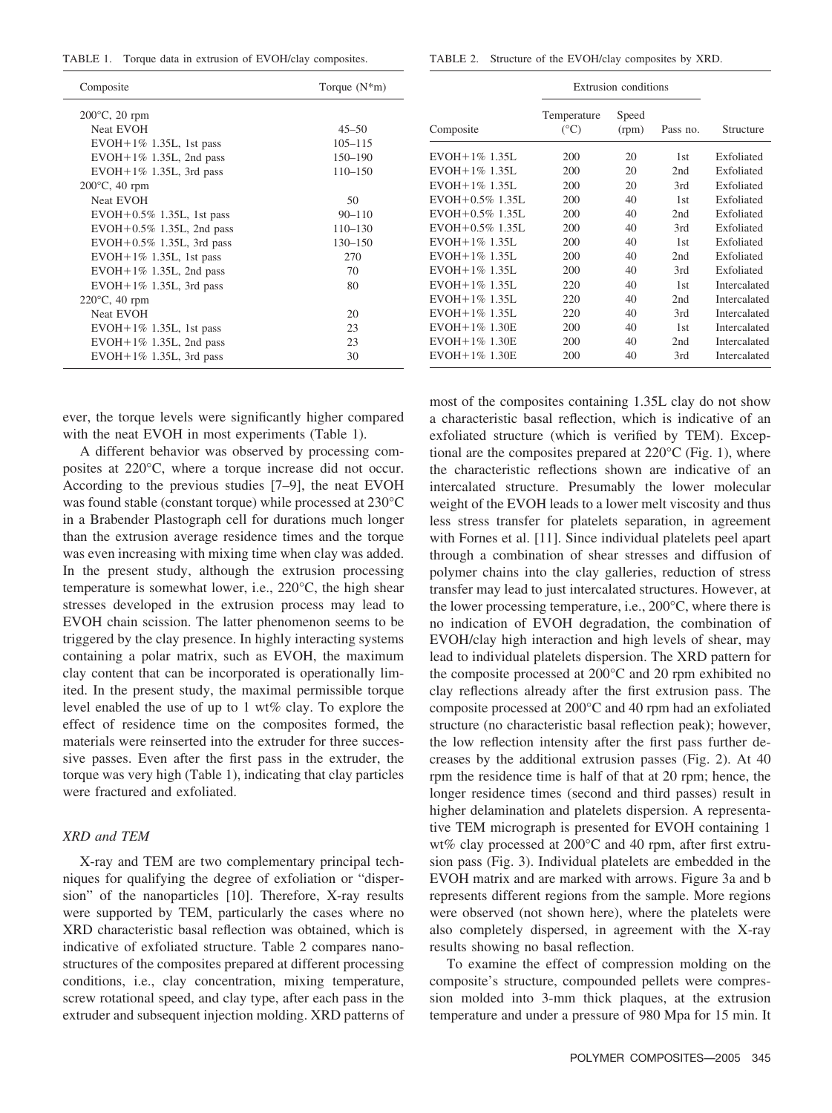TABLE 1. Torque data in extrusion of EVOH/clay composites.

|  | TABLE 2. Structure of the EVOH/clay composites by XRD. |  |  |  |  |  |
|--|--------------------------------------------------------|--|--|--|--|--|
|--|--------------------------------------------------------|--|--|--|--|--|

| Composite                      | Torque $(N*m)$ |
|--------------------------------|----------------|
| $200^{\circ}$ C, 20 rpm        |                |
| <b>Neat EVOH</b>               | $45 - 50$      |
| $EVOH+1\%$ 1.35L, 1st pass     | $105 - 115$    |
| $EVOH+1\%$ 1.35L, 2nd pass     | $150 - 190$    |
| $EVOH+1\%$ 1.35L, 3rd pass     | $110 - 150$    |
| $200^{\circ}$ C, 40 rpm        |                |
| Neat EVOH                      | 50             |
| $EVOH + 0.5\%$ 1.35L, 1st pass | $90 - 110$     |
| $EVOH+0.5\%$ 1.35L, 2nd pass   | $110 - 130$    |
| $EVOH+0.5\%$ 1.35L, 3rd pass   | $130 - 150$    |
| $EVOH+1\%$ 1.35L, 1st pass     | 270            |
| $EVOH+1\%$ 1.35L, 2nd pass     | 70             |
| EVOH+1% 1.35L, 3rd pass        | 80             |
| $220^{\circ}$ C, 40 rpm        |                |
| Neat EVOH                      | 20             |
| $EVOH+1\%$ 1.35L, 1st pass     | 23             |
| $EVOH+1\%$ 1.35L, 2nd pass     | 23             |
| $EVOH+1\%$ 1.35L, 3rd pass     | 30             |
|                                |                |

ever, the torque levels were significantly higher compared with the neat EVOH in most experiments (Table 1).

A different behavior was observed by processing composites at 220°C, where a torque increase did not occur. According to the previous studies [7–9], the neat EVOH was found stable (constant torque) while processed at 230°C in a Brabender Plastograph cell for durations much longer than the extrusion average residence times and the torque was even increasing with mixing time when clay was added. In the present study, although the extrusion processing temperature is somewhat lower, i.e., 220°C, the high shear stresses developed in the extrusion process may lead to EVOH chain scission. The latter phenomenon seems to be triggered by the clay presence. In highly interacting systems containing a polar matrix, such as EVOH, the maximum clay content that can be incorporated is operationally limited. In the present study, the maximal permissible torque level enabled the use of up to 1 wt% clay. To explore the effect of residence time on the composites formed, the materials were reinserted into the extruder for three successive passes. Even after the first pass in the extruder, the torque was very high (Table 1), indicating that clay particles were fractured and exfoliated.

#### *XRD and TEM*

X-ray and TEM are two complementary principal techniques for qualifying the degree of exfoliation or "dispersion" of the nanoparticles [10]. Therefore, X-ray results were supported by TEM, particularly the cases where no XRD characteristic basal reflection was obtained, which is indicative of exfoliated structure. Table 2 compares nanostructures of the composites prepared at different processing conditions, i.e., clay concentration, mixing temperature, screw rotational speed, and clay type, after each pass in the extruder and subsequent injection molding. XRD patterns of

|                      | Extrusion conditions         |                |                 |                     |
|----------------------|------------------------------|----------------|-----------------|---------------------|
| Composite            | Temperature<br>$(^{\circ}C)$ | Speed<br>(rpm) | Pass no.        | Structure           |
| EVOH+1% 1.35L        | 200                          | 20             | 1st             | Exfoliated          |
| $EVOH + 1\%$ 1.35L   | 200                          | 20             | 2nd             | Exfoliated          |
| $EVOH + 1\%$ 1.35L   | 200                          | 20             | 3rd             | Exfoliated          |
| $EVOH + 0.5\%$ 1.35L | 200                          | 40             | 1st             | Exfoliated          |
| EVOH+0.5% 1.35L      | 200                          | 40             | 2nd             | Exfoliated          |
| EVOH+0.5% 1.35L      | 200                          | 40             | 3rd             | Exfoliated          |
| $EVOH + 1\%$ 1.35L   | 200                          | 40             | 1st             | Exfoliated          |
| $EVOH + 1\%$ 1.35L   | 200                          | 40             | 2nd             | Exfoliated          |
| $EVOH + 1\%$ 1.35L   | 200                          | 40             | 3rd             | Exfoliated          |
| $EVOH + 1\%$ 1.35L   | 220                          | 40             | 1 <sub>st</sub> | Intercalated        |
| $EVOH + 1\%$ 1.35L   | 220                          | 40             | 2nd             | Intercalated        |
| EVOH + 1% 1.35L      | 220                          | 40             | 3rd             | <b>Intercalated</b> |
| EVOH + 1% 1.30E      | 200                          | 40             | 1st             | <b>Intercalated</b> |
| $EVOH + 1\%$ 1.30E   | 200                          | 40             | 2nd             | Intercalated        |
| EVOH + 1% 1.30E      | 200                          | 40             | 3rd             | Intercalated        |

most of the composites containing 1.35L clay do not show a characteristic basal reflection, which is indicative of an exfoliated structure (which is verified by TEM). Exceptional are the composites prepared at  $220^{\circ}$ C (Fig. 1), where the characteristic reflections shown are indicative of an intercalated structure. Presumably the lower molecular weight of the EVOH leads to a lower melt viscosity and thus less stress transfer for platelets separation, in agreement with Fornes et al. [11]. Since individual platelets peel apart through a combination of shear stresses and diffusion of polymer chains into the clay galleries, reduction of stress transfer may lead to just intercalated structures. However, at the lower processing temperature, i.e., 200°C, where there is no indication of EVOH degradation, the combination of EVOH/clay high interaction and high levels of shear, may lead to individual platelets dispersion. The XRD pattern for the composite processed at 200°C and 20 rpm exhibited no clay reflections already after the first extrusion pass. The composite processed at 200°C and 40 rpm had an exfoliated structure (no characteristic basal reflection peak); however, the low reflection intensity after the first pass further decreases by the additional extrusion passes (Fig. 2). At 40 rpm the residence time is half of that at 20 rpm; hence, the longer residence times (second and third passes) result in higher delamination and platelets dispersion. A representative TEM micrograph is presented for EVOH containing 1 wt% clay processed at 200°C and 40 rpm, after first extrusion pass (Fig. 3). Individual platelets are embedded in the EVOH matrix and are marked with arrows. Figure 3a and b represents different regions from the sample. More regions were observed (not shown here), where the platelets were also completely dispersed, in agreement with the X-ray results showing no basal reflection.

To examine the effect of compression molding on the composite's structure, compounded pellets were compression molded into 3-mm thick plaques, at the extrusion temperature and under a pressure of 980 Mpa for 15 min. It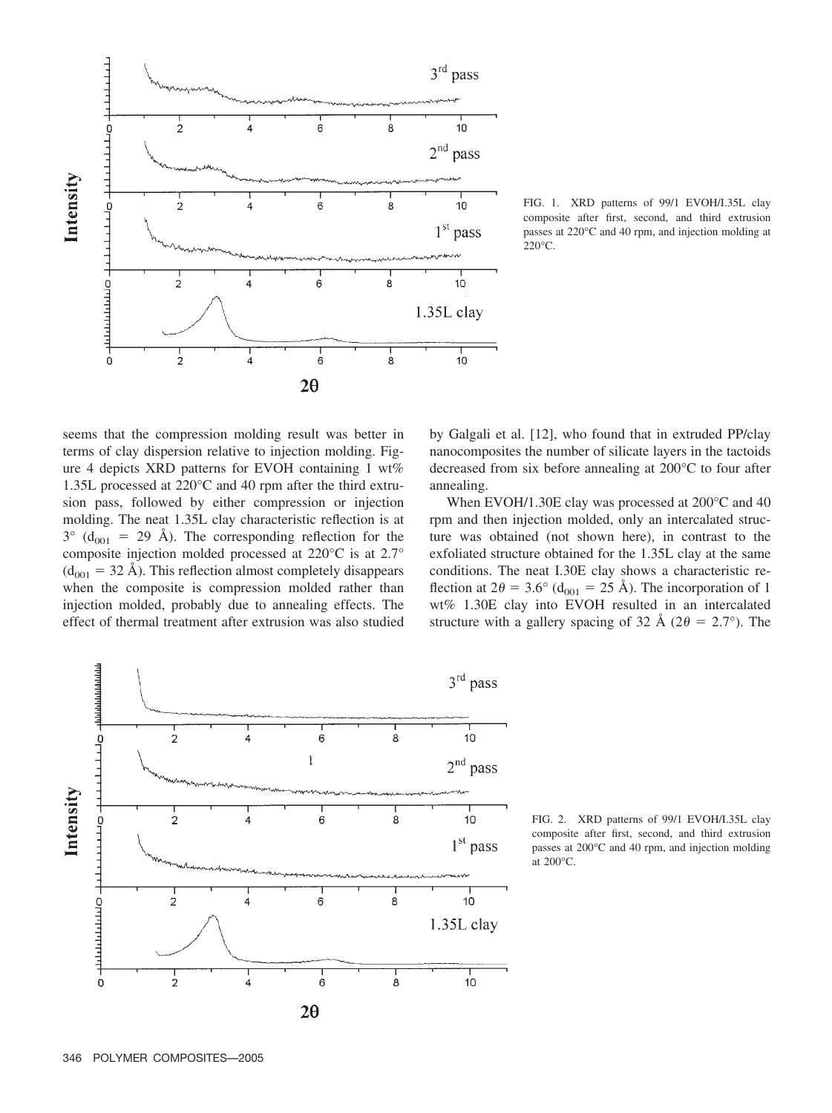

FIG. 1. XRD patterns of 99/1 EVOH/I.35L clay composite after first, second, and third extrusion passes at 220°C and 40 rpm, and injection molding at 220°C.

seems that the compression molding result was better in terms of clay dispersion relative to injection molding. Figure 4 depicts XRD patterns for EVOH containing 1 wt% 1.35L processed at 220°C and 40 rpm after the third extrusion pass, followed by either compression or injection molding. The neat 1.35L clay characteristic reflection is at  $3^{\circ}$  (d<sub>001</sub> = 29 Å). The corresponding reflection for the composite injection molded processed at 220°C is at 2.7°  $(d_{001} = 32 \text{ Å})$ . This reflection almost completely disappears when the composite is compression molded rather than injection molded, probably due to annealing effects. The effect of thermal treatment after extrusion was also studied



When EVOH/1.30E clay was processed at 200°C and 40 rpm and then injection molded, only an intercalated structure was obtained (not shown here), in contrast to the exfoliated structure obtained for the 1.35L clay at the same conditions. The neat I.30E clay shows a characteristic reflection at  $2\theta = 3.6^{\circ}$  (d<sub>001</sub> = 25 Å). The incorporation of 1 wt% 1.30E clay into EVOH resulted in an intercalated structure with a gallery spacing of 32 Å ( $2\theta = 2.7^{\circ}$ ). The



FIG. 2. XRD patterns of 99/1 EVOH/I.35L clay composite after first, second, and third extrusion passes at 200°C and 40 rpm, and injection molding at 200°C.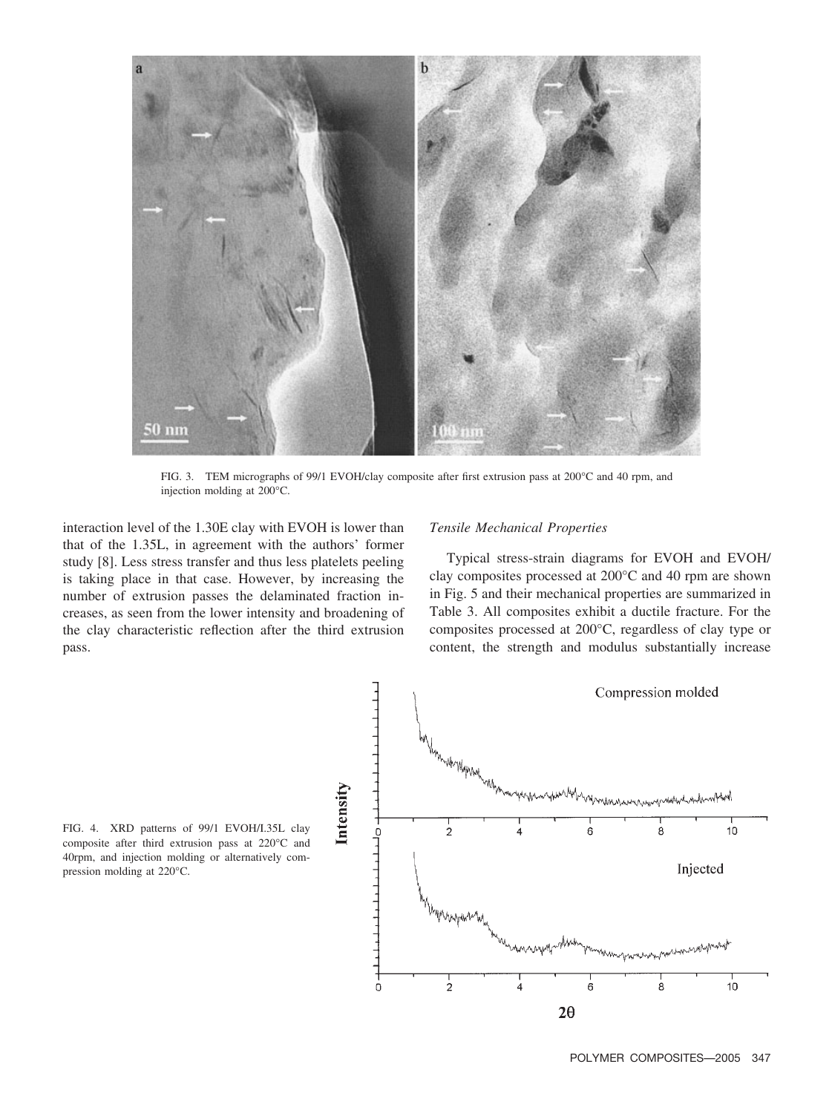

FIG. 3. TEM micrographs of 99/1 EVOH/clay composite after first extrusion pass at 200°C and 40 rpm, and injection molding at 200°C.

interaction level of the 1.30E clay with EVOH is lower than that of the 1.35L, in agreement with the authors' former study [8]. Less stress transfer and thus less platelets peeling is taking place in that case. However, by increasing the number of extrusion passes the delaminated fraction increases, as seen from the lower intensity and broadening of the clay characteristic reflection after the third extrusion pass.

## *Tensile Mechanical Properties*

Typical stress-strain diagrams for EVOH and EVOH/ clay composites processed at 200°C and 40 rpm are shown in Fig. 5 and their mechanical properties are summarized in Table 3. All composites exhibit a ductile fracture. For the composites processed at 200°C, regardless of clay type or content, the strength and modulus substantially increase



FIG. 4. XRD patterns of 99/1 EVOH/I.35L clay composite after third extrusion pass at 220°C and 40rpm, and injection molding or alternatively compression molding at 220°C.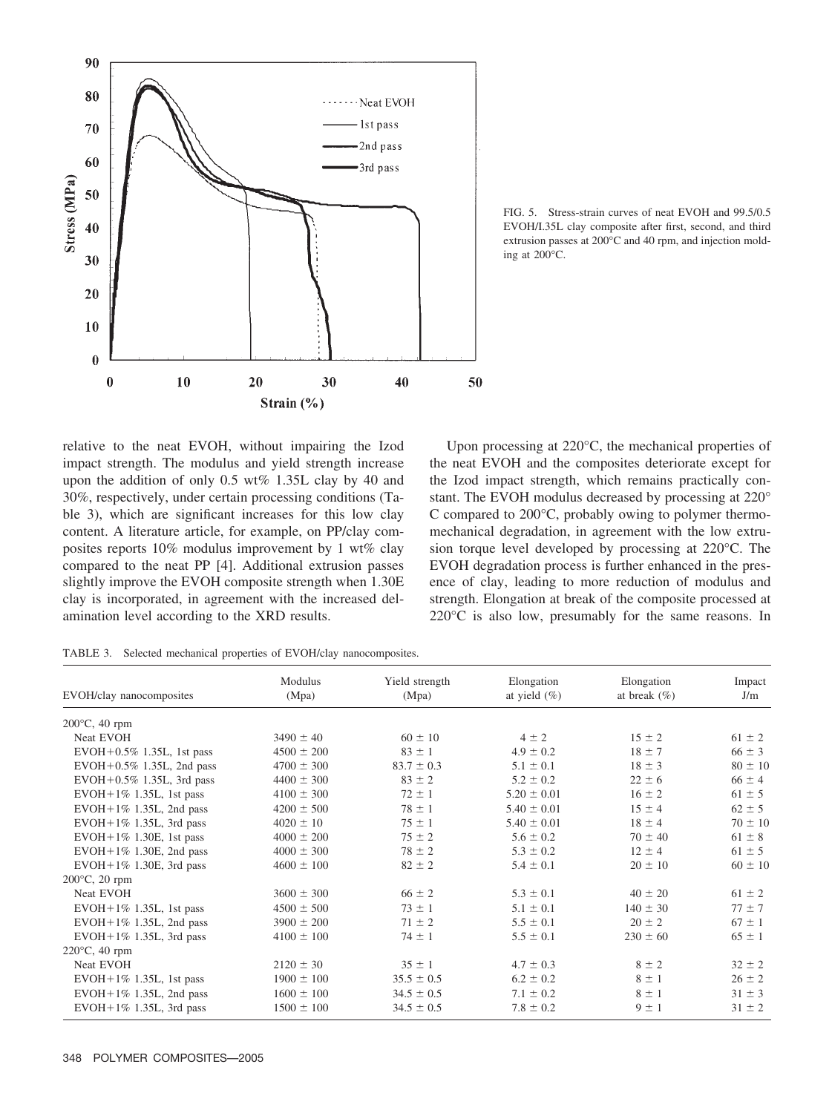

FIG. 5. Stress-strain curves of neat EVOH and 99.5/0.5 EVOH/I.35L clay composite after first, second, and third extrusion passes at 200°C and 40 rpm, and injection molding at 200°C.

relative to the neat EVOH, without impairing the Izod impact strength. The modulus and yield strength increase upon the addition of only 0.5 wt% 1.35L clay by 40 and 30%, respectively, under certain processing conditions (Table 3), which are significant increases for this low clay content. A literature article, for example, on PP/clay composites reports 10% modulus improvement by 1 wt% clay compared to the neat PP [4]. Additional extrusion passes slightly improve the EVOH composite strength when 1.30E clay is incorporated, in agreement with the increased delamination level according to the XRD results.

Upon processing at 220°C, the mechanical properties of the neat EVOH and the composites deteriorate except for the Izod impact strength, which remains practically constant. The EVOH modulus decreased by processing at 220° C compared to 200°C, probably owing to polymer thermomechanical degradation, in agreement with the low extrusion torque level developed by processing at 220°C. The EVOH degradation process is further enhanced in the presence of clay, leading to more reduction of modulus and strength. Elongation at break of the composite processed at 220°C is also low, presumably for the same reasons. In

TABLE 3. Selected mechanical properties of EVOH/clay nanocomposites.

| EVOH/clay nanocomposites       | Modulus<br>(Mpa) | Yield strength<br>(Mpa) | Elongation<br>at yield $(\% )$ | Elongation<br>at break $(\% )$ | Impact<br>J/m |
|--------------------------------|------------------|-------------------------|--------------------------------|--------------------------------|---------------|
| $200^{\circ}$ C, 40 rpm        |                  |                         |                                |                                |               |
| Neat EVOH                      | $3490 \pm 40$    | $60 \pm 10$             | $4 \pm 2$                      | $15 \pm 2$                     | $61 \pm 2$    |
| EVOH+0.5% 1.35L, 1st pass      | $4500 \pm 200$   | $83 \pm 1$              | $4.9 \pm 0.2$                  | $18 \pm 7$                     | $66 \pm 3$    |
| $EVOH+0.5\%$ 1.35L, 2nd pass   | $4700 \pm 300$   | $83.7 \pm 0.3$          | $5.1 \pm 0.1$                  | $18 \pm 3$                     | $80 \pm 10$   |
| $EVOH + 0.5\%$ 1.35L, 3rd pass | $4400 \pm 300$   | $83 \pm 2$              | $5.2 \pm 0.2$                  | $22 \pm 6$                     | $66 \pm 4$    |
| $EVOH + 1\%$ 1.35L, 1st pass   | $4100 \pm 300$   | $72 \pm 1$              | $5.20 \pm 0.01$                | $16 \pm 2$                     | $61 \pm 5$    |
| $EVOH + 1\%$ 1.35L, 2nd pass   | $4200 \pm 500$   | $78 \pm 1$              | $5.40 \pm 0.01$                | $15 \pm 4$                     | $62 \pm 5$    |
| $EVOH + 1\%$ 1.35L, 3rd pass   | $4020 \pm 10$    | $75 \pm 1$              | $5.40 \pm 0.01$                | $18 \pm 4$                     | $70 \pm 10$   |
| $EVOH + 1\%$ 1.30E, 1st pass   | $4000 \pm 200$   | $75 \pm 2$              | $5.6 \pm 0.2$                  | $70 \pm 40$                    | $61 \pm 8$    |
| $EVOH + 1\%$ 1.30E, 2nd pass   | $4000 \pm 300$   | $78 \pm 2$              | $5.3 \pm 0.2$                  | $12 \pm 4$                     | $61 \pm 5$    |
| $EVOH+1\%$ 1.30E, 3rd pass     | $4600 \pm 100$   | $82 \pm 2$              | $5.4 \pm 0.1$                  | $20 \pm 10$                    | $60 \pm 10$   |
| $200^{\circ}$ C, 20 rpm        |                  |                         |                                |                                |               |
| Neat EVOH                      | $3600 \pm 300$   | $66 \pm 2$              | $5.3 \pm 0.1$                  | $40 \pm 20$                    | $61 \pm 2$    |
| $EVOH + 1\%$ 1.35L, 1st pass   | $4500 \pm 500$   | $73 \pm 1$              | $5.1 \pm 0.1$                  | $140 \pm 30$                   | $77 \pm 7$    |
| $EVOH + 1\%$ 1.35L, 2nd pass   | $3900 \pm 200$   | $71 \pm 2$              | $5.5 \pm 0.1$                  | $20 \pm 2$                     | $67 \pm 1$    |
| $EVOH + 1\%$ 1.35L, 3rd pass   | $4100 \pm 100$   | $74 \pm 1$              | $5.5 \pm 0.1$                  | $230 \pm 60$                   | $65 \pm 1$    |
| $220^{\circ}$ C, 40 rpm        |                  |                         |                                |                                |               |
| Neat EVOH                      | $2120 \pm 30$    | $35 \pm 1$              | $4.7 \pm 0.3$                  | $8 \pm 2$                      | $32 \pm 2$    |
| $EVOH + 1\%$ 1.35L, 1st pass   | $1900 \pm 100$   | $35.5 \pm 0.5$          | $6.2 \pm 0.2$                  | $8 \pm 1$                      | $26 \pm 2$    |
| $EVOH + 1\%$ 1.35L, 2nd pass   | $1600 \pm 100$   | $34.5 \pm 0.5$          | $7.1 \pm 0.2$                  | $8 \pm 1$                      | $31 \pm 3$    |
| $EVOH + 1\%$ 1.35L, 3rd pass   | $1500 \pm 100$   | $34.5 \pm 0.5$          | $7.8 \pm 0.2$                  | $9 \pm 1$                      | $31 \pm 2$    |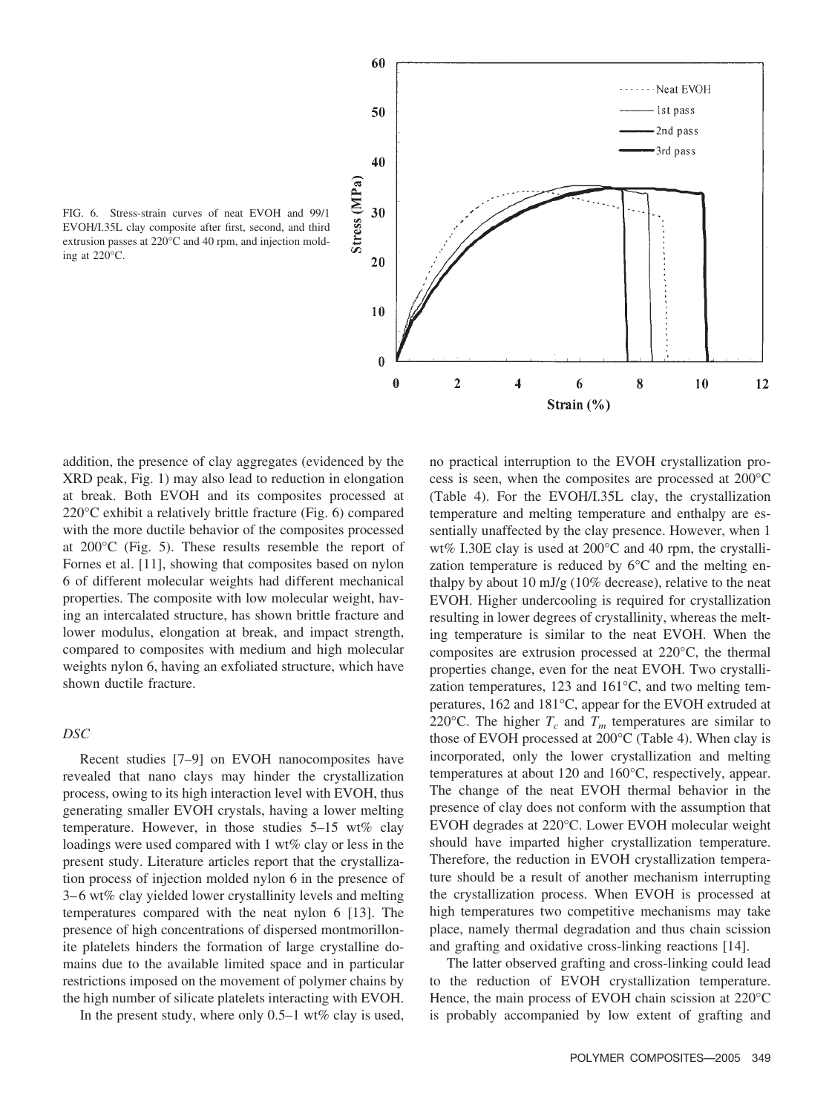

FIG. 6. Stress-strain curves of neat EVOH and 99/1 EVOH/I.35L clay composite after first, second, and third extrusion passes at 220°C and 40 rpm, and injection molding at 220°C.

addition, the presence of clay aggregates (evidenced by the XRD peak, Fig. 1) may also lead to reduction in elongation at break. Both EVOH and its composites processed at 220°C exhibit a relatively brittle fracture (Fig. 6) compared with the more ductile behavior of the composites processed at 200°C (Fig. 5). These results resemble the report of Fornes et al. [11], showing that composites based on nylon 6 of different molecular weights had different mechanical properties. The composite with low molecular weight, having an intercalated structure, has shown brittle fracture and lower modulus, elongation at break, and impact strength, compared to composites with medium and high molecular weights nylon 6, having an exfoliated structure, which have shown ductile fracture.

### *DSC*

Recent studies [7–9] on EVOH nanocomposites have revealed that nano clays may hinder the crystallization process, owing to its high interaction level with EVOH, thus generating smaller EVOH crystals, having a lower melting temperature. However, in those studies  $5-15$  wt% clay loadings were used compared with 1 wt% clay or less in the present study. Literature articles report that the crystallization process of injection molded nylon 6 in the presence of 3– 6 wt% clay yielded lower crystallinity levels and melting temperatures compared with the neat nylon 6 [13]. The presence of high concentrations of dispersed montmorillonite platelets hinders the formation of large crystalline domains due to the available limited space and in particular restrictions imposed on the movement of polymer chains by the high number of silicate platelets interacting with EVOH.

In the present study, where only  $0.5-1$  wt% clay is used,

no practical interruption to the EVOH crystallization process is seen, when the composites are processed at 200°C (Table 4). For the EVOH/I.35L clay, the crystallization temperature and melting temperature and enthalpy are essentially unaffected by the clay presence. However, when 1 wt% I.30E clay is used at 200°C and 40 rpm, the crystallization temperature is reduced by 6°C and the melting enthalpy by about 10 mJ/g (10% decrease), relative to the neat EVOH. Higher undercooling is required for crystallization resulting in lower degrees of crystallinity, whereas the melting temperature is similar to the neat EVOH. When the composites are extrusion processed at 220°C, the thermal properties change, even for the neat EVOH. Two crystallization temperatures, 123 and 161°C, and two melting temperatures, 162 and 181°C, appear for the EVOH extruded at 220 $^{\circ}$ C. The higher  $T_c$  and  $T_m$  temperatures are similar to those of EVOH processed at 200°C (Table 4). When clay is incorporated, only the lower crystallization and melting temperatures at about 120 and 160°C, respectively, appear. The change of the neat EVOH thermal behavior in the presence of clay does not conform with the assumption that EVOH degrades at 220°C. Lower EVOH molecular weight should have imparted higher crystallization temperature. Therefore, the reduction in EVOH crystallization temperature should be a result of another mechanism interrupting the crystallization process. When EVOH is processed at high temperatures two competitive mechanisms may take place, namely thermal degradation and thus chain scission and grafting and oxidative cross-linking reactions [14].

The latter observed grafting and cross-linking could lead to the reduction of EVOH crystallization temperature. Hence, the main process of EVOH chain scission at 220°C is probably accompanied by low extent of grafting and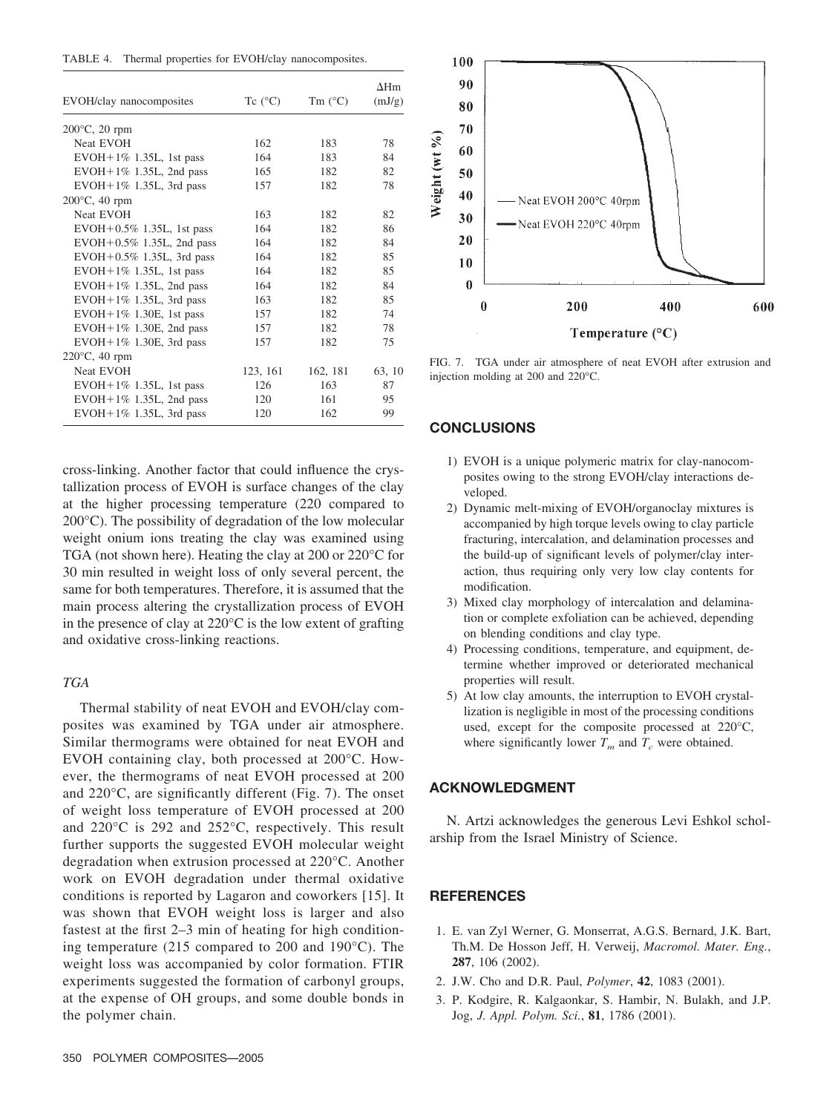| TABLE 4. |  |  |  | Thermal properties for EVOH/clay nanocomposites. |  |  |
|----------|--|--|--|--------------------------------------------------|--|--|
|----------|--|--|--|--------------------------------------------------|--|--|

|                              |                  |                  | $\Lambda$ Hm |
|------------------------------|------------------|------------------|--------------|
| EVOH/clay nanocomposites     | Tc $(^{\circ}C)$ | Tm $(^{\circ}C)$ | (mJ/g)       |
| $200^{\circ}$ C, 20 rpm      |                  |                  |              |
| <b>Neat EVOH</b>             | 162              | 183              | 78           |
| $EVOH + 1\%$ 1.35L, 1st pass | 164              | 183              | 84           |
| $EVOH + 1\%$ 1.35L, 2nd pass | 165              | 182              | 82           |
| EVOH+1% 1.35L, 3rd pass      | 157              | 182              | 78           |
| $200^{\circ}$ C, 40 rpm      |                  |                  |              |
| <b>Neat EVOH</b>             | 163              | 182              | 82           |
| $EVOH+0.5\%$ 1.35L, 1st pass | 164              | 182              | 86           |
| $EVOH+0.5\%$ 1.35L, 2nd pass | 164              | 182              | 84           |
| $EVOH+0.5\%$ 1.35L, 3rd pass | 164              | 182              | 85           |
| $EVOH+1\%$ 1.35L, 1st pass   | 164              | 182              | 85           |
| $EVOH+1\%$ 1.35L, 2nd pass   | 164              | 182              | 84           |
| EVOH + 1% 1.35L, 3rd pass    | 163              | 182              | 85           |
| $EVOH+1\%$ 1.30E, 1st pass   | 157              | 182              | 74           |
| EVOH + 1% 1.30E, 2nd pass    | 157              | 182              | 78           |
| $EVOH+1\%$ 1.30E, 3rd pass   | 157              | 182              | 75           |
| $220^{\circ}$ C, 40 rpm      |                  |                  |              |
| <b>Neat EVOH</b>             | 123, 161         | 162, 181         | 63, 10       |
| $EVOH + 1\%$ 1.35L, 1st pass | 126              | 163              | 87           |
| $EVOH+1\%$ 1.35L, 2nd pass   | 120              | 161              | 95           |
| $EVOH+1\%$ 1.35L, 3rd pass   | 120              | 162              | 99           |

cross-linking. Another factor that could influence the crystallization process of EVOH is surface changes of the clay at the higher processing temperature (220 compared to 200°C). The possibility of degradation of the low molecular weight onium ions treating the clay was examined using TGA (not shown here). Heating the clay at 200 or 220°C for 30 min resulted in weight loss of only several percent, the same for both temperatures. Therefore, it is assumed that the main process altering the crystallization process of EVOH in the presence of clay at 220°C is the low extent of grafting and oxidative cross-linking reactions.

## *TGA*

Thermal stability of neat EVOH and EVOH/clay composites was examined by TGA under air atmosphere. Similar thermograms were obtained for neat EVOH and EVOH containing clay, both processed at 200°C. However, the thermograms of neat EVOH processed at 200 and 220°C, are significantly different (Fig. 7). The onset of weight loss temperature of EVOH processed at 200 and 220°C is 292 and 252°C, respectively. This result further supports the suggested EVOH molecular weight degradation when extrusion processed at 220°C. Another work on EVOH degradation under thermal oxidative conditions is reported by Lagaron and coworkers [15]. It was shown that EVOH weight loss is larger and also fastest at the first 2–3 min of heating for high conditioning temperature (215 compared to 200 and 190°C). The weight loss was accompanied by color formation. FTIR experiments suggested the formation of carbonyl groups, at the expense of OH groups, and some double bonds in the polymer chain.



FIG. 7. TGA under air atmosphere of neat EVOH after extrusion and injection molding at 200 and 220°C.

## **CONCLUSIONS**

- 1) EVOH is a unique polymeric matrix for clay-nanocomposites owing to the strong EVOH/clay interactions developed.
- 2) Dynamic melt-mixing of EVOH/organoclay mixtures is accompanied by high torque levels owing to clay particle fracturing, intercalation, and delamination processes and the build-up of significant levels of polymer/clay interaction, thus requiring only very low clay contents for modification.
- 3) Mixed clay morphology of intercalation and delamination or complete exfoliation can be achieved, depending on blending conditions and clay type.
- 4) Processing conditions, temperature, and equipment, determine whether improved or deteriorated mechanical properties will result.
- 5) At low clay amounts, the interruption to EVOH crystallization is negligible in most of the processing conditions used, except for the composite processed at 220°C, where significantly lower  $T_m$  and  $T_c$  were obtained.

## **ACKNOWLEDGMENT**

N. Artzi acknowledges the generous Levi Eshkol scholarship from the Israel Ministry of Science.

#### **REFERENCES**

- 1. E. van Zyl Werner, G. Monserrat, A.G.S. Bernard, J.K. Bart, Th.M. De Hosson Jeff, H. Verweij, *Macromol. Mater. Eng.*, **287**, 106 (2002).
- 2. J.W. Cho and D.R. Paul, *Polymer*, **42**, 1083 (2001).
- 3. P. Kodgire, R. Kalgaonkar, S. Hambir, N. Bulakh, and J.P. Jog, *J. Appl. Polym. Sci.*, **81**, 1786 (2001).